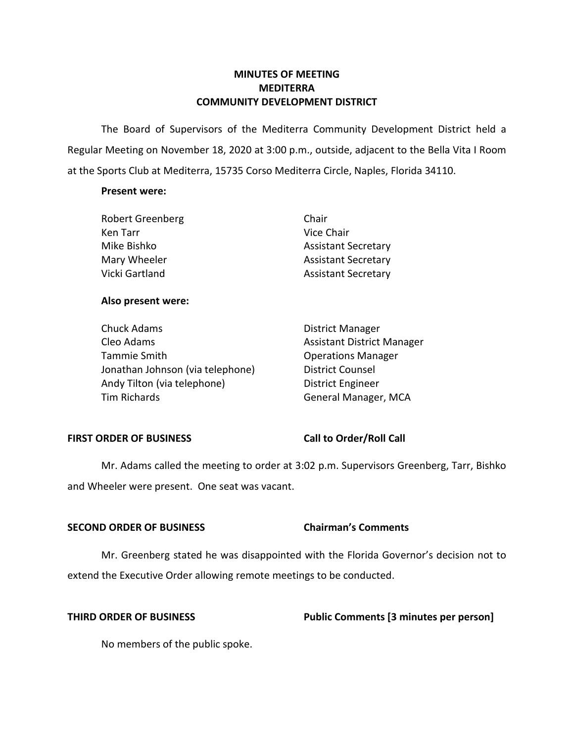### **MINUTES OF MEETING MEDITERRA COMMUNITY DEVELOPMENT DISTRICT**

 The Board of Supervisors of the Mediterra Community Development District held a Regular Meeting on November 18, 2020 at 3:00 p.m., outside, adjacent to the Bella Vita I Room at the Sports Club at Mediterra, 15735 Corso Mediterra Circle, Naples, Florida 34110.

### **Present were:**

| <b>Robert Greenberg</b> | Chair                      |
|-------------------------|----------------------------|
| Ken Tarr                | Vice Chair                 |
| Mike Bishko             | <b>Assistant Secretary</b> |
| Mary Wheeler            | <b>Assistant Secretary</b> |
| Vicki Gartland          | <b>Assistant Secretary</b> |

### **Also present were:**

| Chuck Adams                      | <b>District Manager</b>           |
|----------------------------------|-----------------------------------|
| Cleo Adams                       | <b>Assistant District Manager</b> |
| Tammie Smith                     | <b>Operations Manager</b>         |
| Jonathan Johnson (via telephone) | <b>District Counsel</b>           |
| Andy Tilton (via telephone)      | <b>District Engineer</b>          |
| Tim Richards                     | General Manager, MCA              |

### FIRST ORDER OF BUSINESS Call to Order/Roll Call

 and Wheeler were present. One seat was vacant. Mr. Adams called the meeting to order at 3:02 p.m. Supervisors Greenberg, Tarr, Bishko

### **SECOND ORDER OF BUSINESS Chairman's Comments**

 Mr. Greenberg stated he was disappointed with the Florida Governor's decision not to extend the Executive Order allowing remote meetings to be conducted.

## **THIRD ORDER OF BUSINESS Public Comments [3 minutes per person]**

No members of the public spoke.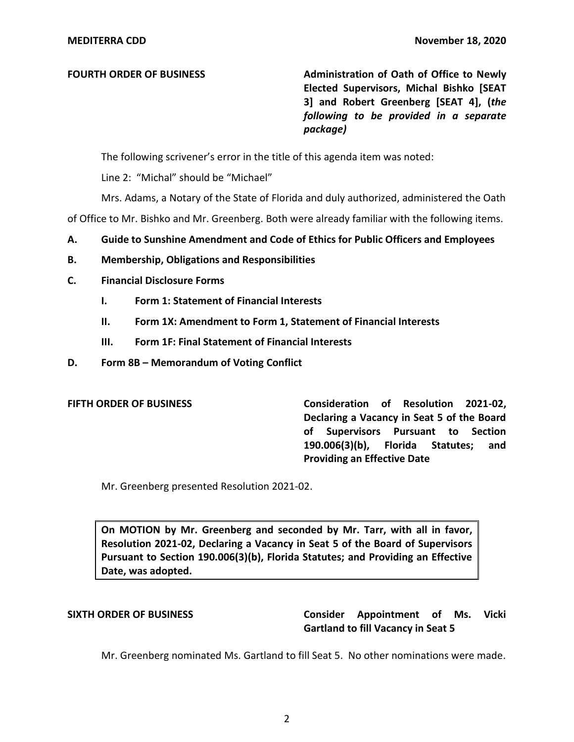**FOURTH ORDER OF BUSINESS** Administration of Oath of Office to Newly  **Elected Supervisors, Michal Bishko [SEAT 3] and Robert Greenberg [SEAT 4], (***the following to be provided in a separate package)* 

The following scrivener's error in the title of this agenda item was noted:

Line 2: "Michal" should be "Michael"

Mrs. Adams, a Notary of the State of Florida and duly authorized, administered the Oath

of Office to Mr. Bishko and Mr. Greenberg. Both were already familiar with the following items.

- **A. Guide to Sunshine Amendment and Code of Ethics for Public Officers and Employees**
- **B. Membership, Obligations and Responsibilities**
- **C. Financial Disclosure Forms** 
	- **I. Form 1: Statement of Financial Interests**
	- **II. Form 1X: Amendment to Form 1, Statement of Financial Interests**
	- **III. Form 1F: Final Statement of Financial Interests**
- **D. Form 8B – Memorandum of Voting Conflict**

 **FIFTH ORDER OF BUSINESS Consideration of Resolution 2021-02, Declaring a Vacancy in Seat 5 of the Board of Supervisors Pursuant to Section 190.006(3)(b), Florida Statutes; and Providing an Effective Date** 

Mr. Greenberg presented Resolution 2021-02.

 **On MOTION by Mr. Greenberg and seconded by Mr. Tarr, with all in favor, Resolution 2021-02, Declaring a Vacancy in Seat 5 of the Board of Supervisors Pursuant to Section 190.006(3)(b), Florida Statutes; and Providing an Effective Date, was adopted.** 

### **SIXTH ORDER OF BUSINESS Consider Appointment of Ms. Vicki Gartland to fill Vacancy in Seat 5**

Mr. Greenberg nominated Ms. Gartland to fill Seat 5. No other nominations were made.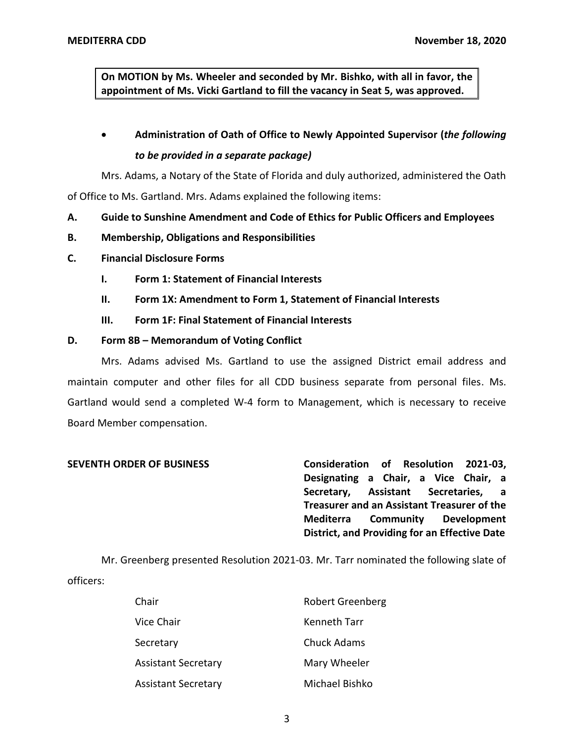**On MOTION by Ms. Wheeler and seconded by Mr. Bishko, with all in favor, the appointment of Ms. Vicki Gartland to fill the vacancy in Seat 5, was approved.** 

## • **Administration of Oath of Office to Newly Appointed Supervisor (***the following to be provided in a separate package)*

Mrs. Adams, a Notary of the State of Florida and duly authorized, administered the Oath

of Office to Ms. Gartland. Mrs. Adams explained the following items:

- **A. Guide to Sunshine Amendment and Code of Ethics for Public Officers and Employees**
- **B. Membership, Obligations and Responsibilities**
- **C. Financial Disclosure Forms** 
	- **I. Form 1: Statement of Financial Interests**
	- **II. Form 1X: Amendment to Form 1, Statement of Financial Interests**
	- **III. Form 1F: Final Statement of Financial Interests**

### **D. Form 8B – Memorandum of Voting Conflict**

 Mrs. Adams advised Ms. Gartland to use the assigned District email address and maintain computer and other files for all CDD business separate from personal files. Ms. Gartland would send a completed W-4 form to Management, which is necessary to receive Board Member compensation.

 **SEVENTH ORDER OF BUSINESS Consideration of Resolution 2021-03, Designating a Chair, a Vice Chair, a Secretary, Assistant Secretaries, a Treasurer and an Assistant Treasurer of the District, and Providing for an Effective Date Mediterra Community Development** 

 Mr. Greenberg presented Resolution 2021-03. Mr. Tarr nominated the following slate of officers:

| Chair               | <b>Robert Greenberg</b> |
|---------------------|-------------------------|
| Vice Chair          | <b>Kenneth Tarr</b>     |
| Secretary           | <b>Chuck Adams</b>      |
| Assistant Secretary | Mary Wheeler            |
| Assistant Secretary | Michael Bishko          |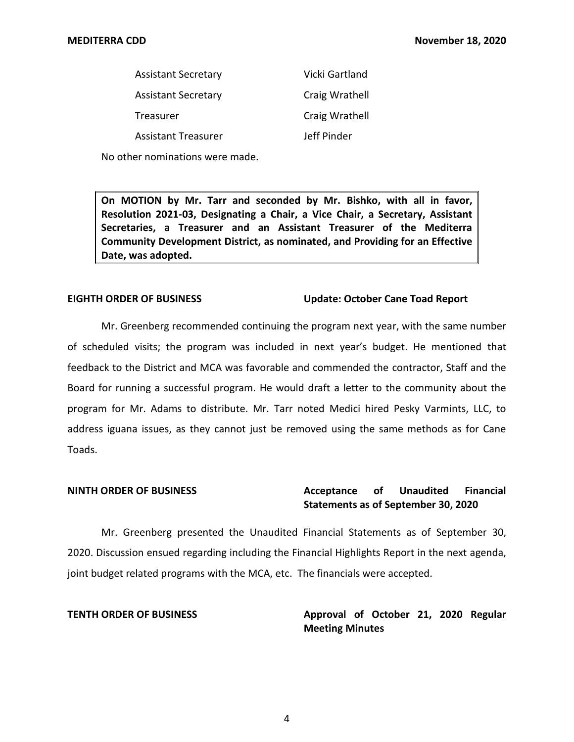| <b>Assistant Secretary</b> | Vicki Gartland |
|----------------------------|----------------|
| <b>Assistant Secretary</b> | Craig Wrathell |
| Treasurer                  | Craig Wrathell |
| <b>Assistant Treasurer</b> | Jeff Pinder    |

No other nominations were made.

 **On MOTION by Mr. Tarr and seconded by Mr. Bishko, with all in favor, Resolution 2021-03, Designating a Chair, a Vice Chair, a Secretary, Assistant Secretaries, a Treasurer and an Assistant Treasurer of the Mediterra Community Development District, as nominated, and Providing for an Effective Date, was adopted.** 

### **EIGHTH ORDER OF BUSINESS**

### **Update: October Cane Toad Report**

 Mr. Greenberg recommended continuing the program next year, with the same number of scheduled visits; the program was included in next year's budget. He mentioned that feedback to the District and MCA was favorable and commended the contractor, Staff and the Board for running a successful program. He would draft a letter to the community about the program for Mr. Adams to distribute. Mr. Tarr noted Medici hired Pesky Varmints, LLC, to address iguana issues, as they cannot just be removed using the same methods as for Cane Toads.

### Acceptance of  **Statements as of September 30, 2020 NINTH ORDER OF BUSINESS Acceptance of Unaudited Financial**

 Mr. Greenberg presented the Unaudited Financial Statements as of September 30, 2020. Discussion ensued regarding including the Financial Highlights Report in the next agenda, joint budget related programs with the MCA, etc. The financials were accepted.

**TENTH ORDER OF BUSINESS Approval of October 21, 2020 Regular Meeting Minutes**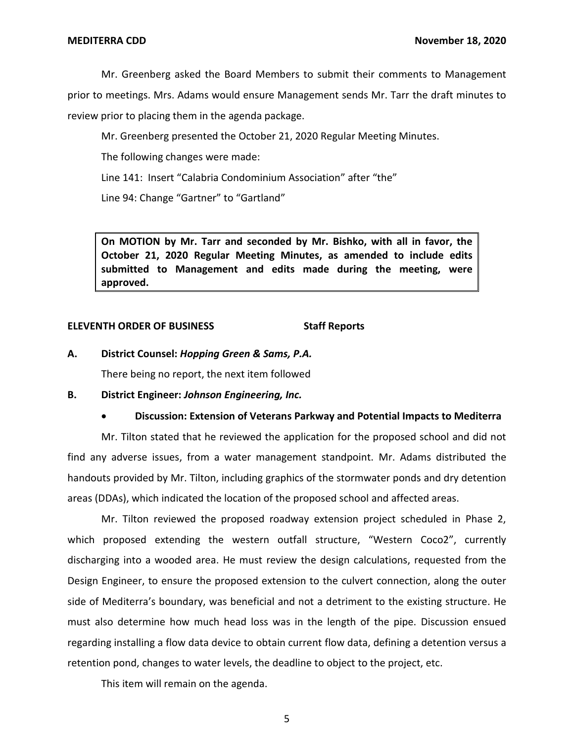Mr. Greenberg asked the Board Members to submit their comments to Management

 prior to meetings. Mrs. Adams would ensure Management sends Mr. Tarr the draft minutes to review prior to placing them in the agenda package.

Mr. Greenberg presented the October 21, 2020 Regular Meeting Minutes.

The following changes were made:

Line 141: Insert "Calabria Condominium Association" after "the"

Line 94: Change "Gartner" to "Gartland"

 **On MOTION by Mr. Tarr and seconded by Mr. Bishko, with all in favor, the October 21, 2020 Regular Meeting Minutes, as amended to include edits submitted to Management and edits made during the meeting, were approved.** 

### **ELEVENTH ORDER OF BUSINESS Staff Reports**

 **A. District Counsel:** *Hopping Green & Sams, P.A.* 

There being no report, the next item followed

 **B. District Engineer:** *Johnson Engineering, Inc.* 

### • **Discussion: Extension of Veterans Parkway and Potential Impacts to Mediterra**

 Mr. Tilton stated that he reviewed the application for the proposed school and did not areas (DDAs), which indicated the location of the proposed school and affected areas. find any adverse issues, from a water management standpoint. Mr. Adams distributed the handouts provided by Mr. Tilton, including graphics of the stormwater ponds and dry detention

 Mr. Tilton reviewed the proposed roadway extension project scheduled in Phase 2, which proposed extending the western outfall structure, "Western Coco2", currently discharging into a wooded area. He must review the design calculations, requested from the Design Engineer, to ensure the proposed extension to the culvert connection, along the outer side of Mediterra's boundary, was beneficial and not a detriment to the existing structure. He must also determine how much head loss was in the length of the pipe. Discussion ensued regarding installing a flow data device to obtain current flow data, defining a detention versus a retention pond, changes to water levels, the deadline to object to the project, etc.

This item will remain on the agenda.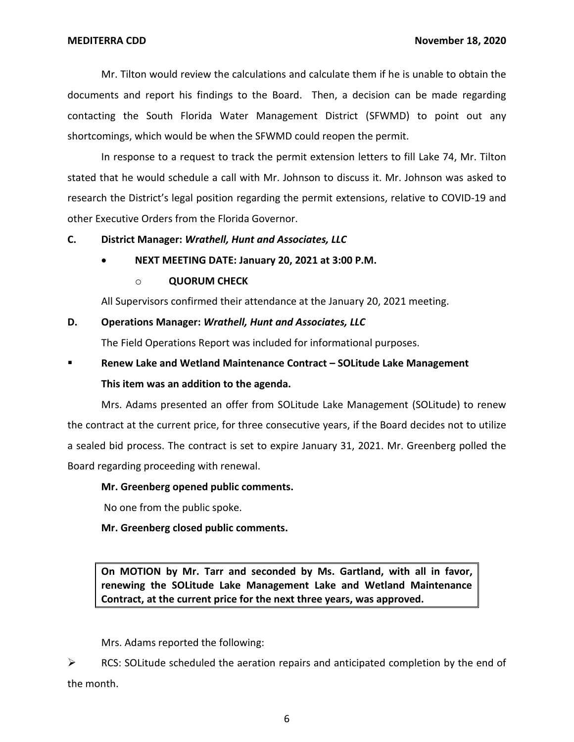Mr. Tilton would review the calculations and calculate them if he is unable to obtain the documents and report his findings to the Board. Then, a decision can be made regarding contacting the South Florida Water Management District (SFWMD) to point out any shortcomings, which would be when the SFWMD could reopen the permit.

 In response to a request to track the permit extension letters to fill Lake 74, Mr. Tilton stated that he would schedule a call with Mr. Johnson to discuss it. Mr. Johnson was asked to research the District's legal position regarding the permit extensions, relative to COVID-19 and other Executive Orders from the Florida Governor.

### **C. District Manager:** *Wrathell, Hunt and Associates, LLC*

### • **NEXT MEETING DATE: January 20, 2021 at 3:00 P.M.**

### o **QUORUM CHECK**

All Supervisors confirmed their attendance at the January 20, 2021 meeting.

### **D. Operations Manager:** *Wrathell, Hunt and Associates, LLC*

The Field Operations Report was included for informational purposes.

# ■ **Renew Lake and Wetland Maintenance Contract – SOLitude Lake Management This item was an addition to the agenda.**

 Mrs. Adams presented an offer from SOLitude Lake Management (SOLitude) to renew the contract at the current price, for three consecutive years, if the Board decides not to utilize a sealed bid process. The contract is set to expire January 31, 2021. Mr. Greenberg polled the Board regarding proceeding with renewal.

### **Mr. Greenberg opened public comments.**

No one from the public spoke.

 **Mr. Greenberg closed public comments.** 

 **On MOTION by Mr. Tarr and seconded by Ms. Gartland, with all in favor, renewing the SOLitude Lake Management Lake and Wetland Maintenance Contract, at the current price for the next three years, was approved.** 

Mrs. Adams reported the following:

 $\triangleright$  RCS: SOLitude scheduled the aeration repairs and anticipated completion by the end of the month.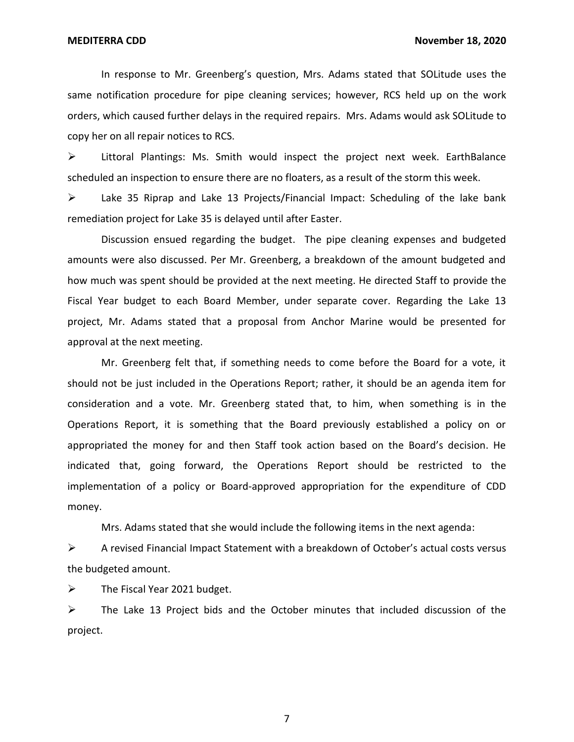In response to Mr. Greenberg's question, Mrs. Adams stated that SOLitude uses the same notification procedure for pipe cleaning services; however, RCS held up on the work orders, which caused further delays in the required repairs. Mrs. Adams would ask SOLitude to copy her on all repair notices to RCS.

 ➢ Littoral Plantings: Ms. Smith would inspect the project next week. EarthBalance scheduled an inspection to ensure there are no floaters, as a result of the storm this week.

 $\triangleright$  Lake 35 Riprap and Lake 13 Projects/Financial Impact: Scheduling of the lake bank remediation project for Lake 35 is delayed until after Easter.

 Discussion ensued regarding the budget. The pipe cleaning expenses and budgeted amounts were also discussed. Per Mr. Greenberg, a breakdown of the amount budgeted and how much was spent should be provided at the next meeting. He directed Staff to provide the Fiscal Year budget to each Board Member, under separate cover. Regarding the Lake 13 project, Mr. Adams stated that a proposal from Anchor Marine would be presented for approval at the next meeting.

 Mr. Greenberg felt that, if something needs to come before the Board for a vote, it should not be just included in the Operations Report; rather, it should be an agenda item for consideration and a vote. Mr. Greenberg stated that, to him, when something is in the Operations Report, it is something that the Board previously established a policy on or appropriated the money for and then Staff took action based on the Board's decision. He indicated that, going forward, the Operations Report should be restricted to the implementation of a policy or Board-approved appropriation for the expenditure of CDD money.

Mrs. Adams stated that she would include the following items in the next agenda:

 $\triangleright$  A revised Financial Impact Statement with a breakdown of October's actual costs versus the budgeted amount.

 $\triangleright$  The Fiscal Year 2021 budget.

 $\triangleright$  The Lake 13 Project bids and the October minutes that included discussion of the project.

7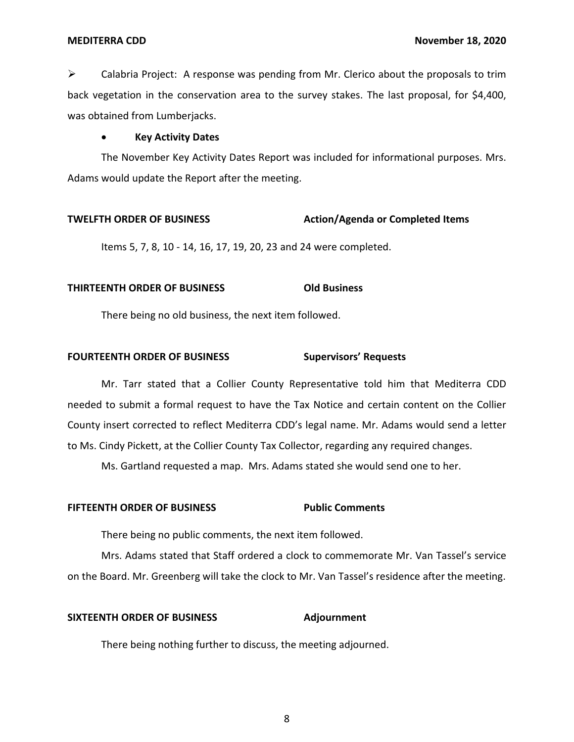back vegetation in the conservation area to the survey stakes. The last proposal, for \$4,400,  $\triangleright$  Calabria Project: A response was pending from Mr. Clerico about the proposals to trim was obtained from Lumberjacks.

### • **Key Activity Dates**

 Adams would update the Report after the meeting. The November Key Activity Dates Report was included for informational purposes. Mrs.

### **TWELFTH ORDER OF BUSINESS** Action/Agenda or Completed Items

Items 5, 7, 8, 10 - 14, 16, 17, 19, 20, 23 and 24 were completed.

### **THIRTEENTH ORDER OF BUSINESS Old Business**

There being no old business, the next item followed.

### **FOURTEENTH ORDER OF BUSINESS Supervisors' Requests**

 Mr. Tarr stated that a Collier County Representative told him that Mediterra CDD needed to submit a formal request to have the Tax Notice and certain content on the Collier County insert corrected to reflect Mediterra CDD's legal name. Mr. Adams would send a letter to Ms. Cindy Pickett, at the Collier County Tax Collector, regarding any required changes.

Ms. Gartland requested a map. Mrs. Adams stated she would send one to her.

### **FIFTEENTH ORDER OF BUSINESS Public Comments**

There being no public comments, the next item followed.

 Mrs. Adams stated that Staff ordered a clock to commemorate Mr. Van Tassel's service on the Board. Mr. Greenberg will take the clock to Mr. Van Tassel's residence after the meeting.

### **SIXTEENTH ORDER OF BUSINESS Adjournment**

There being nothing further to discuss, the meeting adjourned.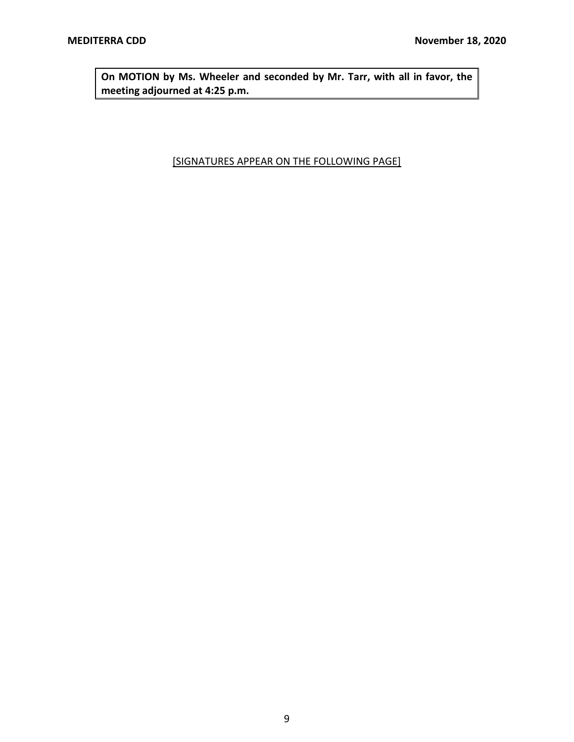<span id="page-8-0"></span> **On MOTION by Ms. Wheeler and seconded by Mr. Tarr, with all in favor, the meeting adjourned at 4:25 p.m.** 

### [SIGNATURES APPEAR ON THE FOLLOWING PAGE]